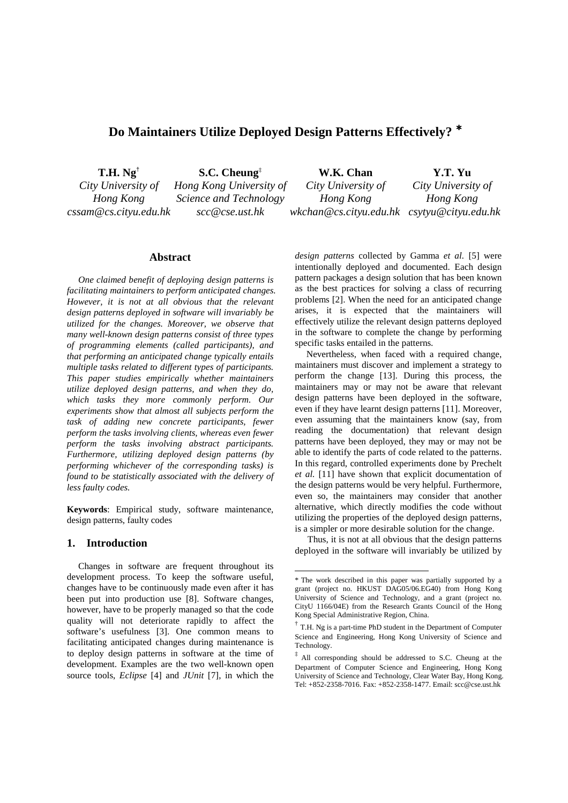# **Do Maintainers Utilize Deployed Design Patterns Effectively?** <sup>∗</sup>

| $T.H. Ng^{\dagger}$   | S.C. Cheung <sup><math>\ddagger</math></sup> | W.K. Chan                                  | Y.T. Yu            |
|-----------------------|----------------------------------------------|--------------------------------------------|--------------------|
| City University of    | Hong Kong University of                      | City University of                         | City University of |
| Hong Kong             | Science and Technology                       | Hong Kong                                  | Hong Kong          |
| cssam@cs.cityu.edu.hk | scc@cse.ust.hk                               | wkchan@cs.cityu.edu.hk csytyu@cityu.edu.hk |                    |

 $\overline{a}$ 

### **Abstract**

*One claimed benefit of deploying design patterns is facilitating maintainers to perform anticipated changes. However, it is not at all obvious that the relevant design patterns deployed in software will invariably be utilized for the changes. Moreover, we observe that many well-known design patterns consist of three types of programming elements (called participants), and that performing an anticipated change typically entails multiple tasks related to different types of participants. This paper studies empirically whether maintainers utilize deployed design patterns, and when they do, which tasks they more commonly perform. Our experiments show that almost all subjects perform the task of adding new concrete participants, fewer perform the tasks involving clients, whereas even fewer perform the tasks involving abstract participants. Furthermore, utilizing deployed design patterns (by performing whichever of the corresponding tasks) is found to be statistically associated with the delivery of less faulty codes.* 

**Keywords**: Empirical study, software maintenance, design patterns, faulty codes

### **1. Introduction**

Changes in software are frequent throughout its development process. To keep the software useful, changes have to be continuously made even after it has been put into production use [8]. Software changes, however, have to be properly managed so that the code quality will not deteriorate rapidly to affect the software's usefulness [3]. One common means to facilitating anticipated changes during maintenance is to deploy design patterns in software at the time of development. Examples are the two well-known open source tools, *Eclipse* [4] and *JUnit* [7], in which the *design patterns* collected by Gamma *et al.* [5] were intentionally deployed and documented. Each design pattern packages a design solution that has been known as the best practices for solving a class of recurring problems [2]. When the need for an anticipated change arises, it is expected that the maintainers will effectively utilize the relevant design patterns deployed in the software to complete the change by performing specific tasks entailed in the patterns.

Nevertheless, when faced with a required change, maintainers must discover and implement a strategy to perform the change [13]. During this process, the maintainers may or may not be aware that relevant design patterns have been deployed in the software, even if they have learnt design patterns [11]. Moreover, even assuming that the maintainers know (say, from reading the documentation) that relevant design patterns have been deployed, they may or may not be able to identify the parts of code related to the patterns. In this regard, controlled experiments done by Prechelt *et al.* [11] have shown that explicit documentation of the design patterns would be very helpful. Furthermore, even so, the maintainers may consider that another alternative, which directly modifies the code without utilizing the properties of the deployed design patterns, is a simpler or more desirable solution for the change.

Thus, it is not at all obvious that the design patterns deployed in the software will invariably be utilized by

<sup>\*</sup> The work described in this paper was partially supported by a grant (project no. HKUST DAG05/06.EG40) from Hong Kong University of Science and Technology, and a grant (project no. CityU 1166/04E) from the Research Grants Council of the Hong Kong Special Administrative Region, China.

<sup>†</sup> T.H. Ng is a part-time PhD student in the Department of Computer Science and Engineering, Hong Kong University of Science and Technology.

<sup>‡</sup> All corresponding should be addressed to S.C. Cheung at the Department of Computer Science and Engineering, Hong Kong University of Science and Technology, Clear Water Bay, Hong Kong. Tel: +852-2358-7016. Fax: +852-2358-1477. Email: scc@cse.ust.hk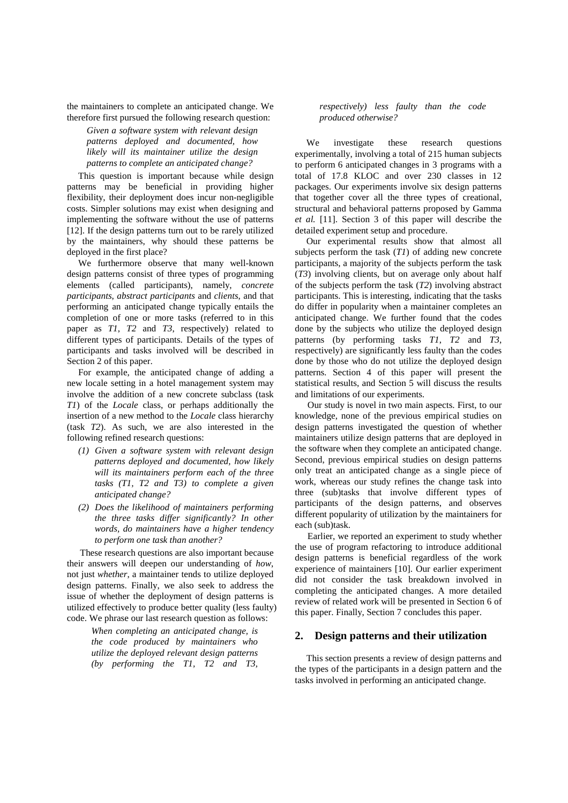the maintainers to complete an anticipated change. We therefore first pursued the following research question:

*Given a software system with relevant design patterns deployed and documented, how likely will its maintainer utilize the design patterns to complete an anticipated change?*

This question is important because while design patterns may be beneficial in providing higher flexibility, their deployment does incur non-negligible costs. Simpler solutions may exist when designing and implementing the software without the use of patterns [12]. If the design patterns turn out to be rarely utilized by the maintainers, why should these patterns be deployed in the first place?

We furthermore observe that many well-known design patterns consist of three types of programming elements (called participants), namely, *concrete participants*, *abstract participants* and *clients*, and that performing an anticipated change typically entails the completion of one or more tasks (referred to in this paper as *T1*, *T2* and *T3*, respectively) related to different types of participants. Details of the types of participants and tasks involved will be described in Section 2 of this paper.

For example, the anticipated change of adding a new locale setting in a hotel management system may involve the addition of a new concrete subclass (task *T1*) of the *Locale* class, or perhaps additionally the insertion of a new method to the *Locale* class hierarchy (task *T2*). As such, we are also interested in the following refined research questions:

- *(1) Given a software system with relevant design patterns deployed and documented, how likely will its maintainers perform each of the three tasks (T1, T2 and T3) to complete a given anticipated change?*
- *(2) Does the likelihood of maintainers performing the three tasks differ significantly? In other words, do maintainers have a higher tendency to perform one task than another?*

These research questions are also important because their answers will deepen our understanding of *how*, not just *whether*, a maintainer tends to utilize deployed design patterns. Finally, we also seek to address the issue of whether the deployment of design patterns is utilized effectively to produce better quality (less faulty) code. We phrase our last research question as follows:

> *When completing an anticipated change, is the code produced by maintainers who utilize the deployed relevant design patterns (by performing the T1, T2 and T3,*

*respectively) less faulty than the code produced otherwise?* 

We investigate these research questions experimentally, involving a total of 215 human subjects to perform 6 anticipated changes in 3 programs with a total of 17.8 KLOC and over 230 classes in 12 packages. Our experiments involve six design patterns that together cover all the three types of creational, structural and behavioral patterns proposed by Gamma *et al.* [11]. Section 3 of this paper will describe the detailed experiment setup and procedure.

Our experimental results show that almost all subjects perform the task (*T1*) of adding new concrete participants, a majority of the subjects perform the task (*T3*) involving clients, but on average only about half of the subjects perform the task (*T2*) involving abstract participants. This is interesting, indicating that the tasks do differ in popularity when a maintainer completes an anticipated change. We further found that the codes done by the subjects who utilize the deployed design patterns (by performing tasks *T1*, *T2* and *T3*, respectively) are significantly less faulty than the codes done by those who do not utilize the deployed design patterns. Section 4 of this paper will present the statistical results, and Section  $\overline{5}$  will discuss the results and limitations of our experiments.

Our study is novel in two main aspects. First, to our knowledge, none of the previous empirical studies on design patterns investigated the question of whether maintainers utilize design patterns that are deployed in the software when they complete an anticipated change. Second, previous empirical studies on design patterns only treat an anticipated change as a single piece of work, whereas our study refines the change task into three (sub)tasks that involve different types of participants of the design patterns, and observes different popularity of utilization by the maintainers for each (sub)task.

Earlier, we reported an experiment to study whether the use of program refactoring to introduce additional design patterns is beneficial regardless of the work experience of maintainers [10]. Our earlier experiment did not consider the task breakdown involved in completing the anticipated changes. A more detailed review of related work will be presented in Section 6 of this paper. Finally, Section 7 concludes this paper.

### **2. Design patterns and their utilization**

This section presents a review of design patterns and the types of the participants in a design pattern and the tasks involved in performing an anticipated change.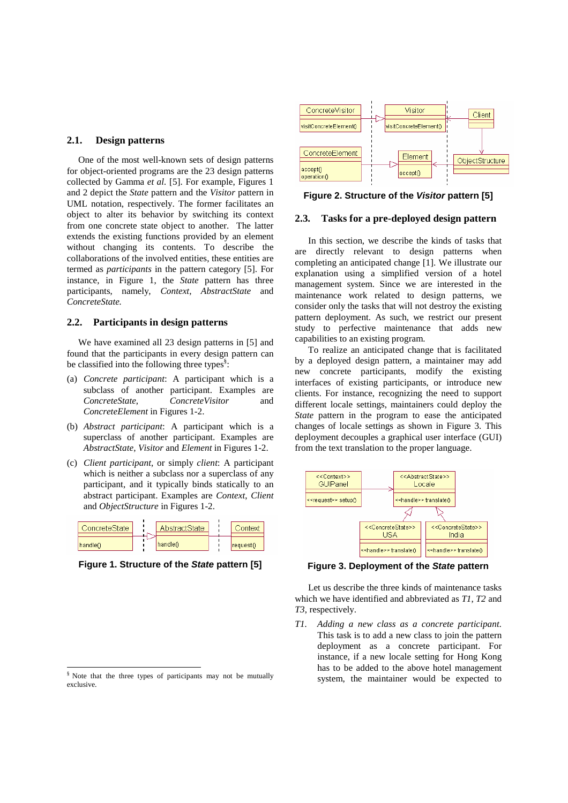### **2.1. Design patterns**

One of the most well-known sets of design patterns for object-oriented programs are the 23 design patterns collected by Gamma *et al.* [5]. For example, Figures 1 and 2 depict the *State* pattern and the *Visitor* pattern in UML notation, respectively. The former facilitates an object to alter its behavior by switching its context from one concrete state object to another. The latter extends the existing functions provided by an element without changing its contents. To describe the collaborations of the involved entities, these entities are termed as *participants* in the pattern category [5]. For instance, in Figure 1, the *State* pattern has three participants, namely, *Context*, *AbstractState* and *ConcreteState.*

#### **2.2. Participants in design patterns**

We have examined all 23 design patterns in [5] and found that the participants in every design pattern can be classified into the following three types<sup>§</sup>:

- (a) *Concrete participant*: A participant which is a subclass of another participant. Examples are *ConcreteState*, *ConcreteVisitor* and *ConcreteElement* in Figures 1-2.
- (b) *Abstract participant*: A participant which is a superclass of another participant. Examples are *AbstractState*, *Visitor* and *Element* in Figures 1-2.
- (c) *Client participant*, or simply *client*: A participant which is neither a subclass nor a superclass of any participant, and it typically binds statically to an abstract participant. Examples are *Context*, *Client* and *ObjectStructure* in Figures 1-2.



**Figure 1. Structure of the State pattern [5]** 

 $\overline{a}$ 



**Figure 2. Structure of the Visitor pattern [5]** 

### **2.3. Tasks for a pre-deployed design pattern**

In this section, we describe the kinds of tasks that are directly relevant to design patterns when completing an anticipated change [1]. We illustrate our explanation using a simplified version of a hotel management system. Since we are interested in the maintenance work related to design patterns, we consider only the tasks that will not destroy the existing pattern deployment. As such, we restrict our present study to perfective maintenance that adds new capabilities to an existing program.

To realize an anticipated change that is facilitated by a deployed design pattern, a maintainer may add new concrete participants, modify the existing interfaces of existing participants, or introduce new clients. For instance, recognizing the need to support different locale settings, maintainers could deploy the *State* pattern in the program to ease the anticipated changes of locale settings as shown in Figure 3. This deployment decouples a graphical user interface (GUI) from the text translation to the proper language.



**Figure 3. Deployment of the State pattern** 

Let us describe the three kinds of maintenance tasks which we have identified and abbreviated as *T1*, *T2* and *T3*, respectively.

*T1. Adding a new class as a concrete participant.* This task is to add a new class to join the pattern deployment as a concrete participant. For instance, if a new locale setting for Hong Kong has to be added to the above hotel management system, the maintainer would be expected to

<sup>§</sup> Note that the three types of participants may not be mutually exclusive.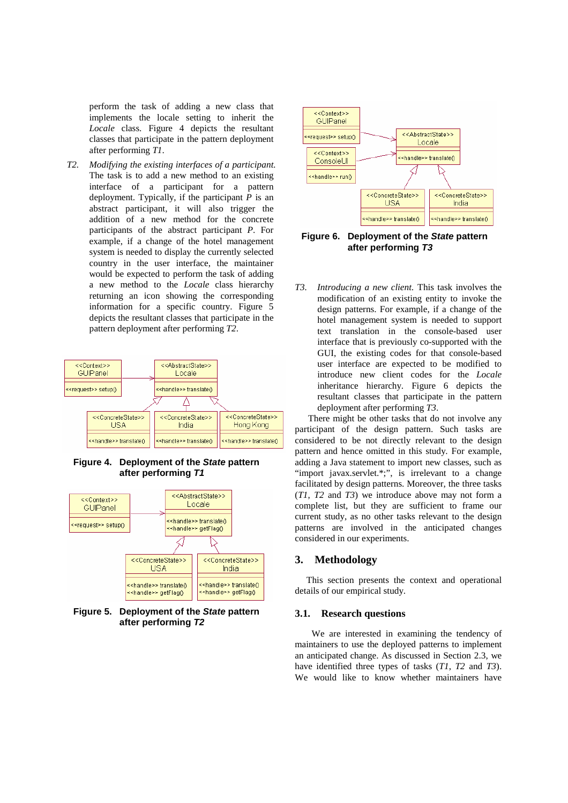perform the task of adding a new class that implements the locale setting to inherit the *Locale* class. Figure 4 depicts the resultant classes that participate in the pattern deployment after performing *T1*.

*T2. Modifying the existing interfaces of a participant.* The task is to add a new method to an existing interface of a participant for a pattern deployment. Typically, if the participant *P* is an abstract participant, it will also trigger the addition of a new method for the concrete participants of the abstract participant *P*. For example, if a change of the hotel management system is needed to display the currently selected country in the user interface, the maintainer would be expected to perform the task of adding a new method to the *Locale* class hierarchy returning an icon showing the corresponding information for a specific country. Figure 5 depicts the resultant classes that participate in the pattern deployment after performing *T2*.



**Figure 4. Deployment of the State pattern after performing T1**



**Figure 5. Deployment of the State pattern after performing T2**



**Figure 6. Deployment of the State pattern after performing T3**

*T3. Introducing a new client.* This task involves the modification of an existing entity to invoke the design patterns. For example, if a change of the hotel management system is needed to support text translation in the console-based user interface that is previously co-supported with the GUI, the existing codes for that console-based user interface are expected to be modified to introduce new client codes for the *Locale* inheritance hierarchy. Figure 6 depicts the resultant classes that participate in the pattern deployment after performing *T3*.

There might be other tasks that do not involve any participant of the design pattern. Such tasks are considered to be not directly relevant to the design pattern and hence omitted in this study. For example, adding a Java statement to import new classes, such as "import javax.servlet.\*;", is irrelevant to a change facilitated by design patterns. Moreover, the three tasks (*T1*, *T2* and *T3*) we introduce above may not form a complete list, but they are sufficient to frame our current study, as no other tasks relevant to the design patterns are involved in the anticipated changes considered in our experiments.

## **3. Methodology**

This section presents the context and operational details of our empirical study.

### **3.1. Research questions**

We are interested in examining the tendency of maintainers to use the deployed patterns to implement an anticipated change. As discussed in Section 2.3, we have identified three types of tasks (*T1*, *T2* and *T3*). We would like to know whether maintainers have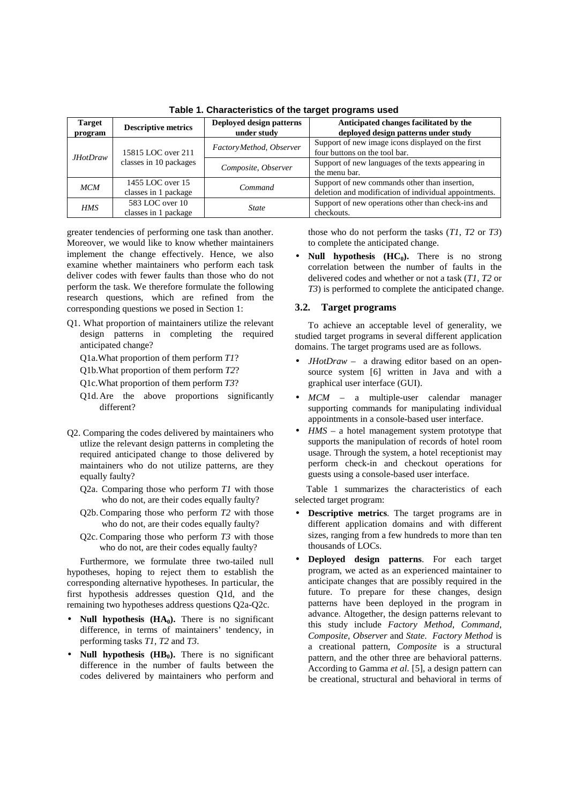| <b>Target</b><br>program | <b>Descriptive metrics</b>               | Deployed design patterns<br>under study | Anticipated changes facilitated by the<br>deployed design patterns under study                         |  |  |
|--------------------------|------------------------------------------|-----------------------------------------|--------------------------------------------------------------------------------------------------------|--|--|
| 15815 LOC over 211       |                                          | FactoryMethod, Observer                 | Support of new image icons displayed on the first<br>four buttons on the tool bar.                     |  |  |
| <b>JHotDraw</b>          | classes in 10 packages                   | Composite, Observer                     | Support of new languages of the texts appearing in<br>the menu bar.                                    |  |  |
| <b>MCM</b>               | 1455 LOC over 15<br>classes in 1 package | Command                                 | Support of new commands other than insertion,<br>deletion and modification of individual appointments. |  |  |
| HMS.                     | 583 LOC over 10<br>classes in 1 package  | <b>State</b>                            | Support of new operations other than check-ins and<br>checkouts.                                       |  |  |

**Table 1. Characteristics of the target programs used** 

greater tendencies of performing one task than another. Moreover, we would like to know whether maintainers implement the change effectively. Hence, we also examine whether maintainers who perform each task deliver codes with fewer faults than those who do not perform the task. We therefore formulate the following research questions, which are refined from the corresponding questions we posed in Section 1:

- Q1. What proportion of maintainers utilize the relevant design patterns in completing the required anticipated change?
	- Q1a.What proportion of them perform *T1*?
	- Q1b.What proportion of them perform *T2*?
	- Q1c.What proportion of them perform *T3*?
	- Q1d. Are the above proportions significantly different?
- Q2. Comparing the codes delivered by maintainers who utlize the relevant design patterns in completing the required anticipated change to those delivered by maintainers who do not utilize patterns, are they equally faulty?
	- Q2a. Comparing those who perform *T1* with those who do not, are their codes equally faulty?
	- Q2b. Comparing those who perform *T2* with those who do not, are their codes equally faulty?
	- Q2c. Comparing those who perform *T3* with those who do not, are their codes equally faulty?

Furthermore, we formulate three two-tailed null hypotheses, hoping to reject them to establish the corresponding alternative hypotheses. In particular, the first hypothesis addresses question Q1d, and the remaining two hypotheses address questions Q2a-Q2c.

- **Null hypothesis (HA<sub>0</sub>).** There is no significant difference, in terms of maintainers' tendency, in performing tasks *T1, T2* and *T3*.
- **Null hypothesis (HB0).** There is no significant difference in the number of faults between the codes delivered by maintainers who perform and

those who do not perform the tasks (*T1*, *T2* or *T3*) to complete the anticipated change.

• **Null hypothesis (HC0).** There is no strong correlation between the number of faults in the delivered codes and whether or not a task (*T1*, *T2* or *T3*) is performed to complete the anticipated change.

## **3.2. Target programs**

To achieve an acceptable level of generality, we studied target programs in several different application domains. The target programs used are as follows.

- *JHotDraw* a drawing editor based on an opensource system [6] written in Java and with a graphical user interface (GUI).
- *MCM* a multiple-user calendar manager supporting commands for manipulating individual appointments in a console-based user interface.
- *HMS* a hotel management system prototype that supports the manipulation of records of hotel room usage. Through the system, a hotel receptionist may perform check-in and checkout operations for guests using a console-based user interface.

Table 1 summarizes the characteristics of each selected target program:

- **Descriptive metrics**. The target programs are in different application domains and with different sizes, ranging from a few hundreds to more than ten thousands of LOCs.
- **Deployed design patterns**. For each target program, we acted as an experienced maintainer to anticipate changes that are possibly required in the future. To prepare for these changes, design patterns have been deployed in the program in advance. Altogether, the design patterns relevant to this study include *Factory Method*, *Command*, *Composite*, *Observer* and *State*. *Factory Method* is a creational pattern, *Composite* is a structural pattern, and the other three are behavioral patterns. According to Gamma *et al.* [5], a design pattern can be creational, structural and behavioral in terms of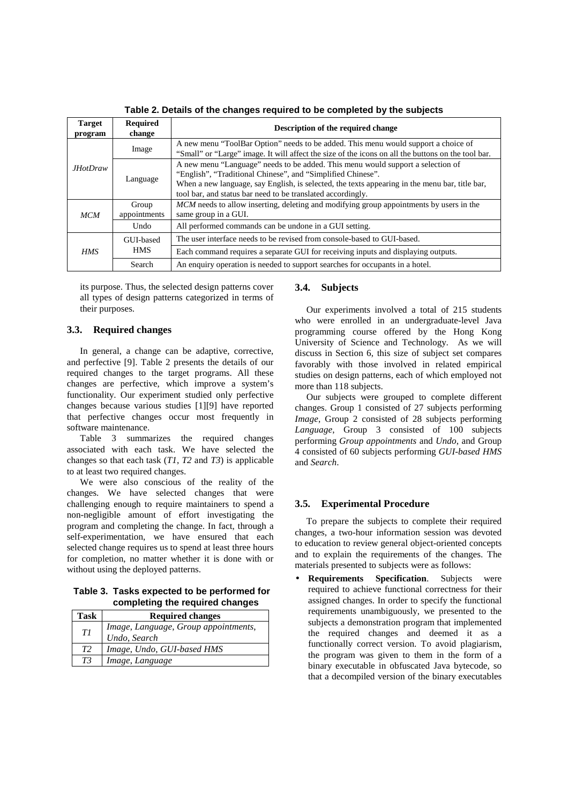| <b>Target</b><br>program                                                            | <b>Required</b><br>change | Description of the required change                                                                                                                                                                                                               |  |  |
|-------------------------------------------------------------------------------------|---------------------------|--------------------------------------------------------------------------------------------------------------------------------------------------------------------------------------------------------------------------------------------------|--|--|
|                                                                                     | Image                     | A new menu "ToolBar Option" needs to be added. This menu would support a choice of<br>"Small" or "Large" image. It will affect the size of the icons on all the buttons on the tool bar.                                                         |  |  |
| JHotDraw<br>"English", "Traditional Chinese", and "Simplified Chinese".<br>Language |                           | A new menu "Language" needs to be added. This menu would support a selection of<br>When a new language, say English, is selected, the texts appearing in the menu bar, title bar,<br>tool bar, and status bar need to be translated accordingly. |  |  |
| Group<br>appointments<br>MCM<br>Undo                                                |                           | MCM needs to allow inserting, deleting and modifying group appointments by users in the<br>same group in a GUI.                                                                                                                                  |  |  |
|                                                                                     |                           | All performed commands can be undone in a GUI setting.                                                                                                                                                                                           |  |  |
| GUL-based                                                                           |                           | The user interface needs to be revised from console-based to GUI-based.                                                                                                                                                                          |  |  |
| <b>HMS</b>                                                                          | <b>HMS</b>                | Each command requires a separate GUI for receiving inputs and displaying outputs.                                                                                                                                                                |  |  |
| Search                                                                              |                           | An enquiry operation is needed to support searches for occupants in a hotel.                                                                                                                                                                     |  |  |

**Table 2. Details of the changes required to be completed by the subjects** 

its purpose. Thus, the selected design patterns cover all types of design patterns categorized in terms of their purposes.

## **3.3. Required changes**

In general, a change can be adaptive, corrective, and perfective [9]. Table 2 presents the details of our required changes to the target programs. All these changes are perfective, which improve a system's functionality. Our experiment studied only perfective changes because various studies [1][9] have reported that perfective changes occur most frequently in software maintenance.

Table 3 summarizes the required changes associated with each task. We have selected the changes so that each task (*T1*, *T2* and *T3*) is applicable to at least two required changes.

We were also conscious of the reality of the changes. We have selected changes that were challenging enough to require maintainers to spend a non-negligible amount of effort investigating the program and completing the change. In fact, through a self-experimentation, we have ensured that each selected change requires us to spend at least three hours for completion, no matter whether it is done with or without using the deployed patterns.

## **Table 3. Tasks expected to be performed for completing the required changes**

| <b>Task</b> | <b>Required changes</b>                              |
|-------------|------------------------------------------------------|
| T1          | Image, Language, Group appointments,<br>Undo, Search |
| T2          | Image, Undo, GUI-based HMS                           |
| T3          | Image, Language                                      |

## **3.4. Subjects**

Our experiments involved a total of 215 students who were enrolled in an undergraduate-level Java programming course offered by the Hong Kong University of Science and Technology. As we will discuss in Section 6, this size of subject set compares favorably with those involved in related empirical studies on design patterns, each of which employed not more than 118 subjects.

Our subjects were grouped to complete different changes. Group 1 consisted of 27 subjects performing *Image*, Group 2 consisted of 28 subjects performing *Language*, Group 3 consisted of 100 subjects performing *Group appointments* and *Undo*, and Group 4 consisted of 60 subjects performing *GUI-based HMS* and *Search*.

## **3.5. Experimental Procedure**

To prepare the subjects to complete their required changes, a two-hour information session was devoted to education to review general object-oriented concepts and to explain the requirements of the changes. The materials presented to subjects were as follows:

• **Requirements Specification**. Subjects were required to achieve functional correctness for their assigned changes. In order to specify the functional requirements unambiguously, we presented to the subjects a demonstration program that implemented the required changes and deemed it as a functionally correct version. To avoid plagiarism, the program was given to them in the form of a binary executable in obfuscated Java bytecode, so that a decompiled version of the binary executables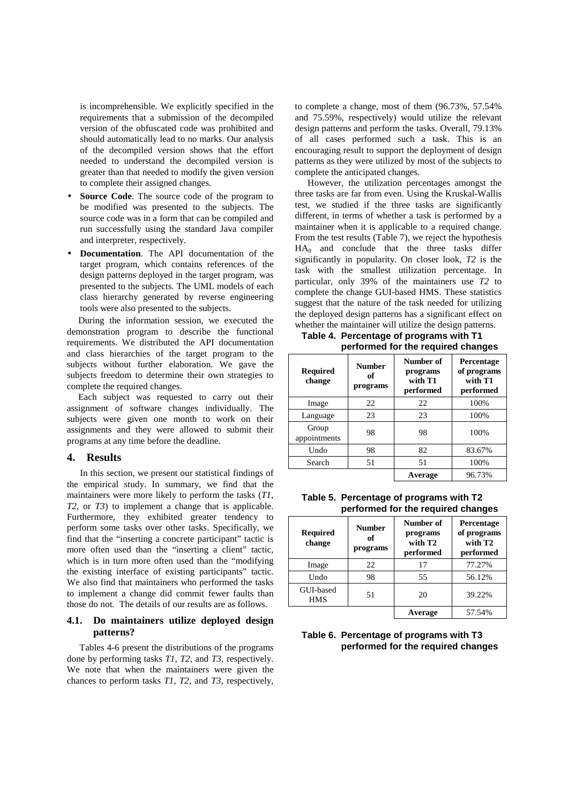is incomprehensible. We explicitly specified in the requirements that a submission of the decompiled version of the obfuscated code was prohibited and should automatically lead to no marks. Our analysis of the decompiled version shows that the effort needed to understand the decompiled version is greater than that needed to modify the given version to complete their assigned changes.

- **Source Code**. The source code of the program to be modified was presented to the subjects. The source code was in a form that can be compiled and run successfully using the standard Java compiler and interpreter, respectively.
- **Documentation**. The API documentation of the target program, which contains references of the design patterns deployed in the target program, was presented to the subjects. The UML models of each class hierarchy generated by reverse engineering tools were also presented to the subjects.

During the information session, we executed the demonstration program to describe the functional requirements. We distributed the API documentation and class hierarchies of the target program to the subjects without further elaboration. We gave the subjects freedom to determine their own strategies to complete the required changes.

Each subject was requested to carry out their assignment of software changes individually. The subjects were given one month to work on their assignments and they were allowed to submit their programs at any time before the deadline.

### **4. Results**

In this section, we present our statistical findings of the empirical study. In summary, we find that the maintainers were more likely to perform the tasks (*T1*, *T2*, or *T3*) to implement a change that is applicable. Furthermore, they exhibited greater tendency to perform some tasks over other tasks. Specifically, we find that the "inserting a concrete participant" tactic is more often used than the "inserting a client" tactic, which is in turn more often used than the "modifying the existing interface of existing participants" tactic. We also find that maintainers who performed the tasks to implement a change did commit fewer faults than those do not. The details of our results are as follows.

## **4.1. Do maintainers utilize deployed design patterns?**

Tables 4-6 present the distributions of the programs done by performing tasks *T1*, *T2*, and *T3,* respectively. We note that when the maintainers were given the chances to perform tasks *T1*, *T2*, and *T3*, respectively,

to complete a change, most of them (96.73%, 57.54% and 75.59%, respectively) would utilize the relevant design patterns and perform the tasks. Overall, 79.13% of all cases performed such a task. This is an encouraging result to support the deployment of design patterns as they were utilized by most of the subjects to complete the anticipated changes.

However, the utilization percentages amongst the three tasks are far from even. Using the Kruskal-Wallis test, we studied if the three tasks are significantly different, in terms of whether a task is performed by a maintainer when it is applicable to a required change. From the test results (Table 7), we reject the hypothesis  $HA<sub>0</sub>$  and conclude that the three tasks differ significantly in popularity. On closer look, *T2* is the task with the smallest utilization percentage. In particular, only 39% of the maintainers use *T2* to complete the change GUI-based HMS. These statistics suggest that the nature of the task needed for utilizing the deployed design patterns has a significant effect on whether the maintainer will utilize the design patterns.

**Table 4. Percentage of programs with T1** 

| Required<br>change    | <b>Number</b><br>of<br>programs | Number of<br>programs<br>with T1<br>performed | Percentage<br>of programs<br>with T1<br>performed |
|-----------------------|---------------------------------|-----------------------------------------------|---------------------------------------------------|
| Image                 | 22                              | 22                                            | 100%                                              |
| Language              | 23                              | 23                                            | 100%                                              |
| Group<br>appointments | 98                              | 98                                            | 100%                                              |
| Undo                  | 98                              | 82                                            | 83.67%                                            |
| Search                | 51                              | 51                                            | 100%                                              |
|                       |                                 | Average                                       | 96.73%                                            |

**performed for the required changes**

**Table 5. Percentage of programs with T2 performed for the required changes**

| <b>Required</b><br>change | <b>Number</b><br>оf<br>programs | Number of<br>programs<br>with T <sub>2</sub><br>performed | Percentage<br>of programs<br>with T <sub>2</sub><br>performed |
|---------------------------|---------------------------------|-----------------------------------------------------------|---------------------------------------------------------------|
| Image                     | 22                              | 17                                                        | 77.27%                                                        |
| Undo                      | 98                              | 55                                                        | 56.12%                                                        |
| GUI-based<br>HMS          | 51                              | 20                                                        | 39.22%                                                        |
|                           |                                 | Average                                                   | 57.54%                                                        |

### **Table 6. Percentage of programs with T3 performed for the required changes**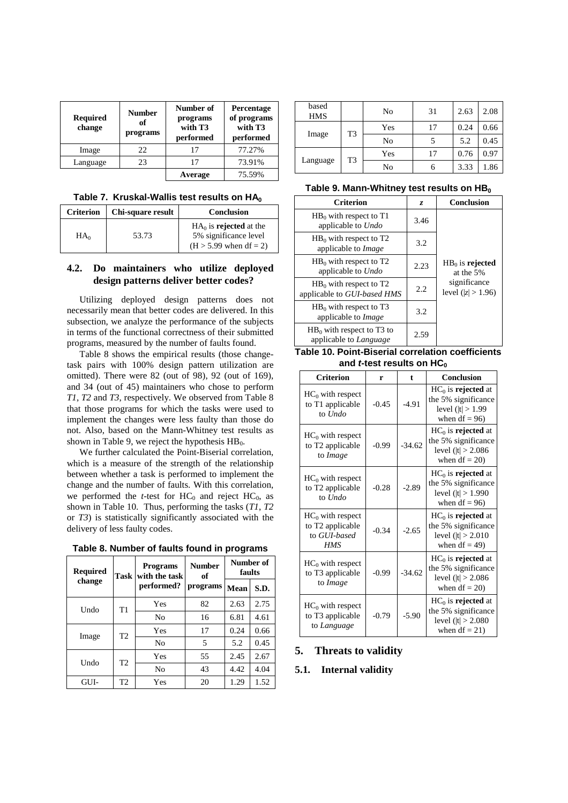| Required<br>change | <b>Number</b><br>of<br>programs | Number of<br>programs<br>with T3<br>performed | Percentage<br>of programs<br>with T3<br>performed |
|--------------------|---------------------------------|-----------------------------------------------|---------------------------------------------------|
| Image              | 22                              | 17                                            | 77.27%                                            |
| Language           | 23                              | 17                                            | 73.91%                                            |
|                    |                                 | Average                                       | 75.59%                                            |

**Table 7. Kruskal-Wallis test results on HA<sup>0</sup>**

| <b>Criterion</b> | Chi-square result | Conclusion                                                                           |
|------------------|-------------------|--------------------------------------------------------------------------------------|
| HA <sub>0</sub>  | 53.73             | $HA0$ is <b>rejected</b> at the<br>5% significance level<br>$(H > 5.99$ when df = 2) |

## **4.2. Do maintainers who utilize deployed design patterns deliver better codes?**

Utilizing deployed design patterns does not necessarily mean that better codes are delivered. In this subsection, we analyze the performance of the subjects in terms of the functional correctness of their submitted programs, measured by the number of faults found.

Table 8 shows the empirical results (those changetask pairs with 100% design pattern utilization are omitted). There were 82 (out of 98), 92 (out of 169), and 34 (out of 45) maintainers who chose to perform *T1*, *T2* and *T3*, respectively. We observed from Table 8 that those programs for which the tasks were used to implement the changes were less faulty than those do not. Also, based on the Mann-Whitney test results as shown in Table 9, we reject the hypothesis  $HB<sub>0</sub>$ .

We further calculated the Point-Biserial correlation, which is a measure of the strength of the relationship between whether a task is performed to implement the change and the number of faults. With this correlation, we performed the *t*-test for  $HC_0$  and reject  $HC_0$ , as shown in Table 10. Thus, performing the tasks (*T1*, *T2* or *T3*) is statistically significantly associated with the delivery of less faulty codes.

| <b>Required</b> | Task           | <b>Programs</b><br>with the task | <b>Number</b><br>of | Number of<br>faults |      |
|-----------------|----------------|----------------------------------|---------------------|---------------------|------|
| change          |                | performed?                       | programs            | Mean                | S.D. |
| Undo            | T1             | Yes                              | 82                  | 2.63                | 2.75 |
|                 |                | N <sub>0</sub>                   | 16                  | 6.81                | 4.61 |
| Image           | T <sub>2</sub> | Yes                              | 17                  | 0.24                | 0.66 |
|                 |                | N <sub>0</sub>                   | 5                   | 5.2                 | 0.45 |
| Undo            | T <sub>2</sub> | Yes                              | 55                  | 2.45                | 2.67 |
|                 |                | No                               | 43                  | 4.42                | 4.04 |
| GUI-            | T <sub>2</sub> | Yes                              | 20                  | 1.29                | 1.52 |

**Table 8. Number of faults found in programs** 

| based<br><b>HMS</b> |                | No  | 31 | 2.63 | 2.08 |
|---------------------|----------------|-----|----|------|------|
| Image               | T <sub>3</sub> | Yes | 17 | 0.24 | 0.66 |
|                     |                | No  |    | 5.2  | 0.45 |
| Language            | T <sub>3</sub> | Yes | 17 | 0.76 | 0.97 |
|                     |                | No  |    | 3.33 | 1.86 |

**Table 9. Mann-Whitney test results on HB<sup>0</sup>**

| <b>Criterion</b>                                               | z.   | <b>Conclusion</b>                    |
|----------------------------------------------------------------|------|--------------------------------------|
| $HB0$ with respect to T1<br>applicable to Undo                 | 3.46 |                                      |
| $HB0$ with respect to T2<br>applicable to <i>Image</i>         | 3.2  |                                      |
| $HB0$ with respect to T2<br>applicable to Undo                 | 2.23 | $HB0$ is rejected<br>at the 5%       |
| $HB0$ with respect to T2<br>applicable to <i>GUI-based HMS</i> | 2.2. | significance<br>level $( z  > 1.96)$ |
| $HB0$ with respect to T3<br>applicable to <i>Image</i>         | 3.2  |                                      |
| $HB0$ with respect to T3 to<br>applicable to <i>Language</i>   | 2.59 |                                      |

**Table 10. Point-Biserial correlation coefficients and t-test results on HC<sup>0</sup>**

| <b>Criterion</b>                                                      | r       | $\mathbf{t}$ | <b>Conclusion</b>                                                                        |  |  |
|-----------------------------------------------------------------------|---------|--------------|------------------------------------------------------------------------------------------|--|--|
| $HC0$ with respect<br>to T1 applicable<br>to Undo                     | $-0.45$ | $-4.91$      | $HC0$ is rejected at<br>the 5% significance<br>level ( $ t  > 1.99$<br>when $df = 96$    |  |  |
| $HC_0$ with respect<br>to T2 applicable<br>to Image                   | $-0.99$ | $-34.62$     | $HC0$ is rejected at<br>the 5% significance<br>level ( $ t  > 2.086$<br>when $df = 20$   |  |  |
| $HC_0$ with respect<br>to T2 applicable<br>to Undo                    | $-0.28$ | $-2.89$      | $HC0$ is rejected at<br>the 5% significance<br>level ( $ t  > 1.990$<br>when $df = 96$   |  |  |
| $HC_0$ with respect<br>to T2 applicable<br>to GUI-based<br><b>HMS</b> | $-0.34$ | $-2.65$      | $HC_0$ is rejected at<br>the 5% significance<br>level ( $ t  > 2.010$<br>when $df = 49$  |  |  |
| $HC0$ with respect<br>to T3 applicable<br>to Image                    | $-0.99$ | $-34.62$     | $HC0$ is rejected at<br>the 5% significance<br>level ( $ t  > 2.086$<br>when $df = 20$   |  |  |
| $HC_0$ with respect<br>to T3 applicable<br>to Language                | $-0.79$ | $-5.90$      | $HC0$ is rejected at<br>the 5% significance<br>level ( $ t  > 2.080$<br>when $df = 21$ ) |  |  |

## **5. Threats to validity**

## **5.1. Internal validity**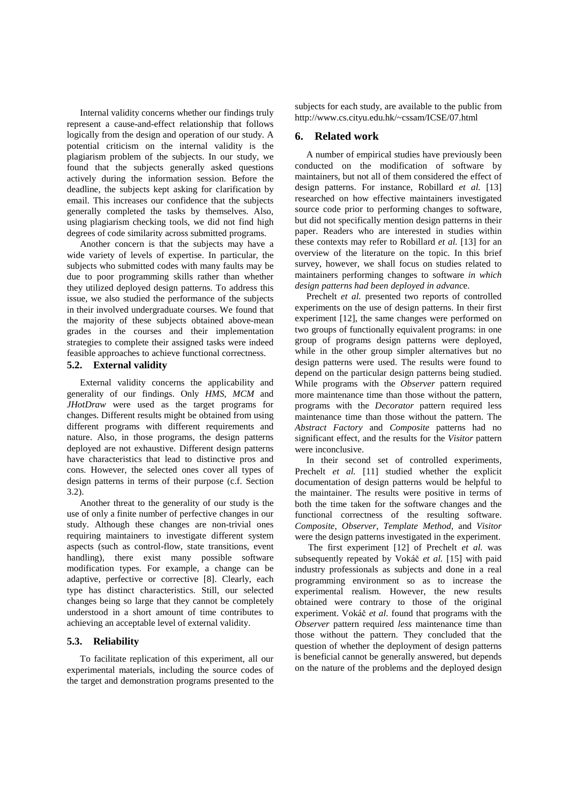Internal validity concerns whether our findings truly represent a cause-and-effect relationship that follows logically from the design and operation of our study. A potential criticism on the internal validity is the plagiarism problem of the subjects. In our study, we found that the subjects generally asked questions actively during the information session. Before the deadline, the subjects kept asking for clarification by email. This increases our confidence that the subjects generally completed the tasks by themselves. Also, using plagiarism checking tools, we did not find high degrees of code similarity across submitted programs.

Another concern is that the subjects may have a wide variety of levels of expertise. In particular, the subjects who submitted codes with many faults may be due to poor programming skills rather than whether they utilized deployed design patterns. To address this issue, we also studied the performance of the subjects in their involved undergraduate courses. We found that the majority of these subjects obtained above-mean grades in the courses and their implementation strategies to complete their assigned tasks were indeed feasible approaches to achieve functional correctness.

### **5.2. External validity**

External validity concerns the applicability and generality of our findings. Only *HMS*, *MCM* and *JHotDraw* were used as the target programs for changes. Different results might be obtained from using different programs with different requirements and nature. Also, in those programs, the design patterns deployed are not exhaustive. Different design patterns have characteristics that lead to distinctive pros and cons. However, the selected ones cover all types of design patterns in terms of their purpose (c.f. Section 3.2).

Another threat to the generality of our study is the use of only a finite number of perfective changes in our study. Although these changes are non-trivial ones requiring maintainers to investigate different system aspects (such as control-flow, state transitions, event handling), there exist many possible software modification types. For example, a change can be adaptive, perfective or corrective [8]. Clearly, each type has distinct characteristics. Still, our selected changes being so large that they cannot be completely understood in a short amount of time contributes to achieving an acceptable level of external validity.

## **5.3. Reliability**

To facilitate replication of this experiment, all our experimental materials, including the source codes of the target and demonstration programs presented to the

subjects for each study, are available to the public from http://www.cs.cityu.edu.hk/~cssam/ICSE/07.html

### **6. Related work**

A number of empirical studies have previously been conducted on the modification of software by maintainers, but not all of them considered the effect of design patterns. For instance, Robillard *et al.* [13] researched on how effective maintainers investigated source code prior to performing changes to software, but did not specifically mention design patterns in their paper. Readers who are interested in studies within these contexts may refer to Robillard *et al.* [13] for an overview of the literature on the topic. In this brief survey, however, we shall focus on studies related to maintainers performing changes to software *in which design patterns had been deployed in advanc*e.

Prechelt *et al.* presented two reports of controlled experiments on the use of design patterns. In their first experiment [12], the same changes were performed on two groups of functionally equivalent programs: in one group of programs design patterns were deployed, while in the other group simpler alternatives but no design patterns were used. The results were found to depend on the particular design patterns being studied. While programs with the *Observer* pattern required more maintenance time than those without the pattern, programs with the *Decorator* pattern required less maintenance time than those without the pattern. The *Abstract Factory* and *Composite* patterns had no significant effect, and the results for the *Visitor* pattern were inconclusive.

In their second set of controlled experiments, Prechelt *et al.* [11] studied whether the explicit documentation of design patterns would be helpful to the maintainer. The results were positive in terms of both the time taken for the software changes and the functional correctness of the resulting software. *Composite*, *Observer*, *Template Method*, and *Visitor* were the design patterns investigated in the experiment.

The first experiment [12] of Prechelt *et al.* was subsequently repeated by Vokáč *et al.* [15] with paid industry professionals as subjects and done in a real programming environment so as to increase the experimental realism. However, the new results obtained were contrary to those of the original experiment. Vokáč *et al.* found that programs with the *Observer* pattern required *less* maintenance time than those without the pattern. They concluded that the question of whether the deployment of design patterns is beneficial cannot be generally answered, but depends on the nature of the problems and the deployed design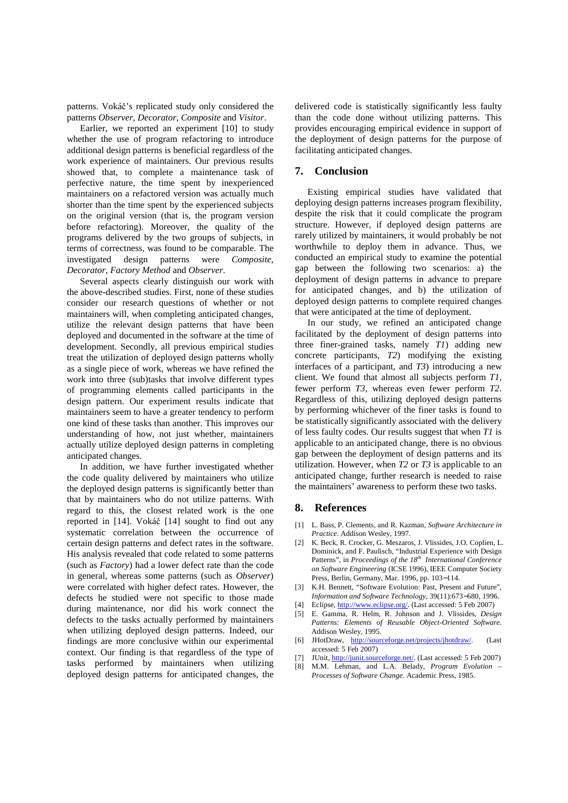patterns. Vokáč's replicated study only considered the patterns *Observer*, *Decorator*, *Composite* and *Visitor*.

Earlier, we reported an experiment [10] to study whether the use of program refactoring to introduce additional design patterns is beneficial regardless of the work experience of maintainers. Our previous results showed that, to complete a maintenance task of perfective nature, the time spent by inexperienced maintainers on a refactored version was actually much shorter than the time spent by the experienced subjects on the original version (that is, the program version before refactoring). Moreover, the quality of the programs delivered by the two groups of subjects, in terms of correctness, was found to be comparable. The investigated design patterns were *Composite*, *Decorator*, *Factory Method* and *Observer*.

Several aspects clearly distinguish our work with the above-described studies. First, none of these studies consider our research questions of whether or not maintainers will, when completing anticipated changes, utilize the relevant design patterns that have been deployed and documented in the software at the time of development. Secondly, all previous empirical studies treat the utilization of deployed design patterns wholly as a single piece of work, whereas we have refined the work into three (sub)tasks that involve different types of programming elements called participants in the design pattern. Our experiment results indicate that maintainers seem to have a greater tendency to perform one kind of these tasks than another. This improves our understanding of how, not just whether, maintainers actually utilize deployed design patterns in completing anticipated changes.

In addition, we have further investigated whether the code quality delivered by maintainers who utilize the deployed design patterns is significantly better than that by maintainers who do not utilize patterns. With regard to this, the closest related work is the one reported in [14]. Vokáč [14] sought to find out any systematic correlation between the occurrence of certain design patterns and defect rates in the software. His analysis revealed that code related to some patterns (such as *Factory*) had a lower defect rate than the code in general, whereas some patterns (such as *Observer*) were correlated with higher defect rates. However, the defects he studied were not specific to those made during maintenance, nor did his work connect the defects to the tasks actually performed by maintainers when utilizing deployed design patterns. Indeed, our findings are more conclusive within our experimental context. Our finding is that regardless of the type of tasks performed by maintainers when utilizing deployed design patterns for anticipated changes, the delivered code is statistically significantly less faulty than the code done without utilizing patterns. This provides encouraging empirical evidence in support of the deployment of design patterns for the purpose of facilitating anticipated changes.

## **7. Conclusion**

Existing empirical studies have validated that deploying design patterns increases program flexibility, despite the risk that it could complicate the program structure. However, if deployed design patterns are rarely utilized by maintainers, it would probably be not worthwhile to deploy them in advance. Thus, we conducted an empirical study to examine the potential gap between the following two scenarios: a) the deployment of design patterns in advance to prepare for anticipated changes, and b) the utilization of deployed design patterns to complete required changes that were anticipated at the time of deployment.

In our study, we refined an anticipated change facilitated by the deployment of design patterns into three finer-grained tasks, namely *T1*) adding new concrete participants, *T2*) modifying the existing interfaces of a participant, and *T3*) introducing a new client. We found that almost all subjects perform *T1*, fewer perform *T3*, whereas even fewer perform *T2*. Regardless of this, utilizing deployed design patterns by performing whichever of the finer tasks is found to be statistically significantly associated with the delivery of less faulty codes. Our results suggest that when *T1* is applicable to an anticipated change, there is no obvious gap between the deployment of design patterns and its utilization. However, when *T2* or *T3* is applicable to an anticipated change, further research is needed to raise the maintainers' awareness to perform these two tasks.

### **8. References**

- [1] L. Bass, P. Clements, and R. Kazman, *Software Architecture in Practice*. Addison Wesley, 1997.
- [2] K. Beck, R. Crocker, G. Meszaros, J. Vlissides, J.O. Coplien, L. Dominick, and F. Paulisch, "Industrial Experience with Design Patterns", in *Proceedings of the 18th International Conference on Software Engineering* (ICSE 1996)*,* IEEE Computer Society Press, Berlin, Germany, Mar. 1996, pp. 103−114.
- [3] K.H. Bennett, "Software Evolution: Past, Present and Future", *Information and Software Technology*, 39(11):673−680, 1996.
- [4] Eclipse, http://www.eclipse.org/. (Last accessed: 5 Feb 2007)
- [5] E. Gamma, R. Helm, R. Johnson and J. Vlissides, *Design Patterns: Elements of Reusable Object-Oriented Software.* Addison Wesley, 1995.
- [6] JHotDraw, http://sourceforge.net/projects/jhotdraw/. (Last accessed: 5 Feb 2007)
- [7] JUnit, http://junit.sourceforge.net/. (Last accessed: 5 Feb 2007)
- [8] M.M. Lehman, and L.A. Belady, *Program Evolution Processes of Software Change*. Academic Press, 1985.